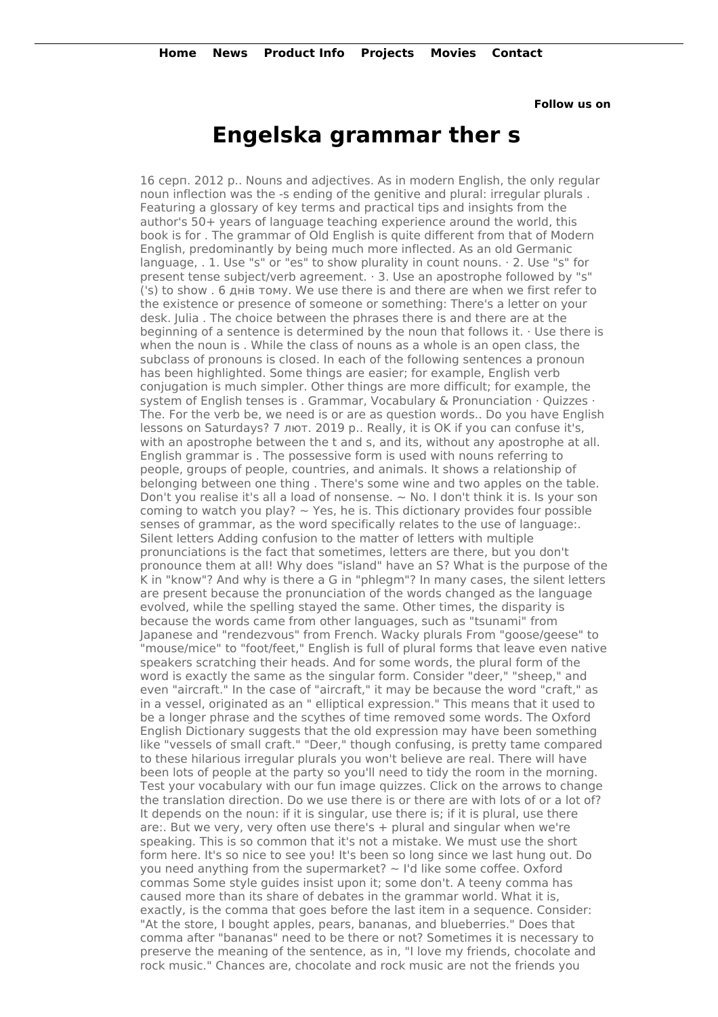**Follow us on**

## **Engelska grammar ther s**

16 серп. 2012 р.. Nouns and adjectives. As in modern English, the only regular noun inflection was the -s ending of the genitive and plural: irregular plurals . Featuring a glossary of key terms and practical tips and insights from the author's 50+ years of language teaching experience around the world, this book is for . The grammar of Old English is quite different from that of Modern English, predominantly by being much more inflected. As an old Germanic language, . 1. Use "s" or "es" to show plurality in count nouns. · 2. Use "s" for present tense subject/verb agreement. · 3. Use an apostrophe followed by "s" ('s) to show . 6 днів тому. We use there is and there are when we first refer to the existence or presence of someone or something: There's a letter on your desk. Julia . The choice between the phrases there is and there are at the beginning of a sentence is determined by the noun that follows it. · Use there is when the noun is . While the class of nouns as a whole is an open class, the subclass of pronouns is closed. In each of the following sentences a pronoun has been highlighted. Some things are easier; for example, English verb conjugation is much simpler. Other things are more difficult; for example, the system of English tenses is . Grammar, Vocabulary & Pronunciation · Quizzes · The. For the verb be, we need is or are as question words.. Do you have English lessons on Saturdays? 7 лют. 2019 р.. Really, it is OK if you can confuse it's, with an apostrophe between the t and s, and its, without any apostrophe at all. English grammar is . The possessive form is used with nouns referring to people, groups of people, countries, and animals. It shows a relationship of belonging between one thing . There's some wine and two apples on the table. Don't you realise it's all a load of nonsense.  $\sim$  No. I don't think it is. Is your son coming to watch you play?  $\sim$  Yes, he is. This dictionary provides four possible senses of grammar, as the word specifically relates to the use of language:. Silent letters Adding confusion to the matter of letters with multiple pronunciations is the fact that sometimes, letters are there, but you don't pronounce them at all! Why does "island" have an S? What is the purpose of the K in "know"? And why is there a G in "phlegm"? In many cases, the silent letters are present because the pronunciation of the words changed as the language evolved, while the spelling stayed the same. Other times, the disparity is because the words came from other languages, such as "tsunami" from Japanese and "rendezvous" from French. Wacky plurals From "goose/geese" to "mouse/mice" to "foot/feet," English is full of plural forms that leave even native speakers scratching their heads. And for some words, the plural form of the word is exactly the same as the singular form. Consider "deer," "sheep," and even "aircraft." In the case of "aircraft," it may be because the word "craft," as in a vessel, originated as an " elliptical expression." This means that it used to be a longer phrase and the scythes of time removed some words. The Oxford English Dictionary suggests that the old expression may have been something like "vessels of small craft." "Deer," though confusing, is pretty tame compared to these hilarious irregular plurals you won't believe are real. There will have been lots of people at the party so you'll need to tidy the room in the morning. Test your vocabulary with our fun image quizzes. Click on the arrows to change the translation direction. Do we use there is or there are with lots of or a lot of? It depends on the noun: if it is singular, use there is; if it is plural, use there are:. But we very, very often use there's + plural and singular when we're speaking. This is so common that it's not a mistake. We must use the short form here. It's so nice to see you! It's been so long since we last hung out. Do you need anything from the supermarket?  $\sim$  I'd like some coffee. Oxford commas Some style guides insist upon it; some don't. A teeny comma has caused more than its share of debates in the grammar world. What it is, exactly, is the comma that goes before the last item in a sequence. Consider: "At the store, I bought apples, pears, bananas, and blueberries." Does that comma after "bananas" need to be there or not? Sometimes it is necessary to preserve the meaning of the sentence, as in, "I love my friends, chocolate and rock music." Chances are, chocolate and rock music are not the friends you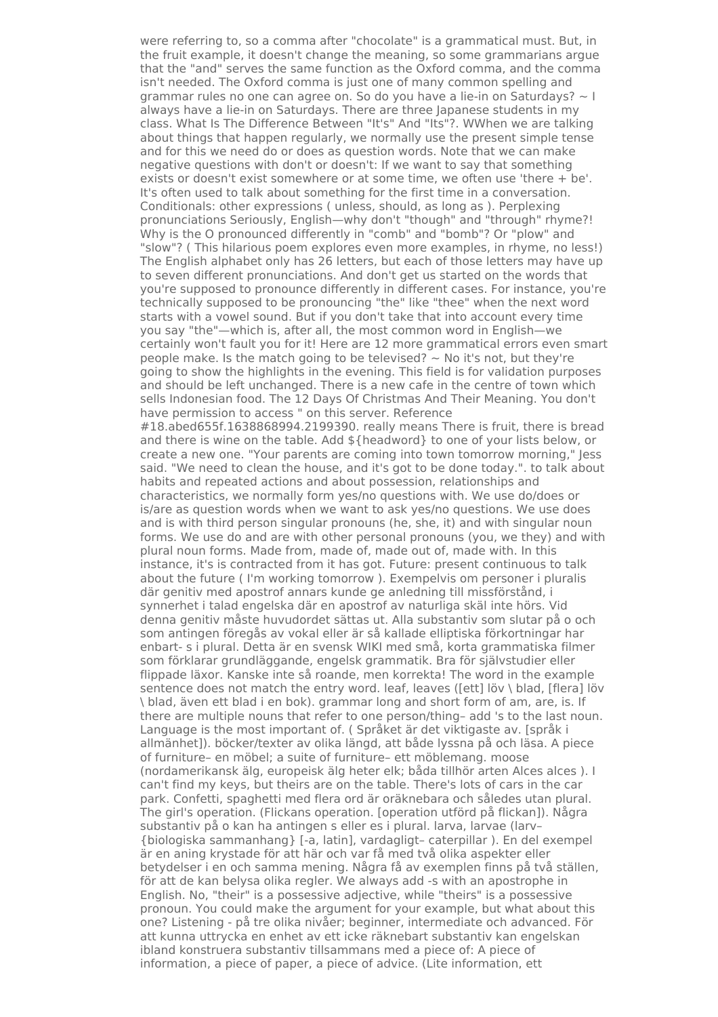were referring to, so a comma after "chocolate" is a grammatical must. But, in the fruit example, it doesn't change the meaning, so some grammarians argue that the "and" serves the same function as the Oxford comma, and the comma isn't needed. The Oxford comma is just one of many common spelling and grammar rules no one can agree on. So do you have a lie-in on Saturdays? ~ I always have a lie-in on Saturdays. There are three Japanese students in my class. What Is The Difference Between "It's" And "Its"?. WWhen we are talking about things that happen regularly, we normally use the present simple tense and for this we need do or does as question words. Note that we can make negative questions with don't or doesn't: If we want to say that something exists or doesn't exist somewhere or at some time, we often use 'there + be'. It's often used to talk about something for the first time in a conversation. Conditionals: other expressions ( unless, should, as long as ). Perplexing pronunciations Seriously, English—why don't "though" and "through" rhyme?! Why is the O pronounced differently in "comb" and "bomb"? Or "plow" and "slow"? ( This hilarious poem explores even more examples, in rhyme, no less!) The English alphabet only has 26 letters, but each of those letters may have up to seven different pronunciations. And don't get us started on the words that you're supposed to pronounce differently in different cases. For instance, you're technically supposed to be pronouncing "the" like "thee" when the next word starts with a vowel sound. But if you don't take that into account every time you say "the"—which is, after all, the most common word in English—we certainly won't fault you for it! Here are 12 more grammatical errors even smart people make. Is the match going to be televised?  $\sim$  No it's not, but they're going to show the highlights in the evening. This field is for validation purposes and should be left unchanged. There is a new cafe in the centre of town which sells Indonesian food. The 12 Days Of Christmas And Their Meaning. You don't have permission to access " on this server. Reference #18.abed655f.1638868994.2199390. really means There is fruit, there is bread and there is wine on the table. Add \${headword} to one of your lists below, or create a new one. "Your parents are coming into town tomorrow morning," Jess said. "We need to clean the house, and it's got to be done today.". to talk about habits and repeated actions and about possession, relationships and characteristics, we normally form yes/no questions with. We use do/does or is/are as question words when we want to ask yes/no questions. We use does and is with third person singular pronouns (he, she, it) and with singular noun forms. We use do and are with other personal pronouns (you, we they) and with plural noun forms. Made from, made of, made out of, made with. In this instance, it's is contracted from it has got. Future: present continuous to talk about the future ( I'm working tomorrow ). Exempelvis om personer i pluralis där genitiv med apostrof annars kunde ge anledning till missförstånd, i synnerhet i talad engelska där en apostrof av naturliga skäl inte hörs. Vid denna genitiv måste huvudordet sättas ut. Alla substantiv som slutar på o och som antingen föregås av vokal eller är så kallade elliptiska förkortningar har enbart‑ s i plural. Detta är en svensk WIKI med små, korta grammatiska filmer som förklarar grundläggande, engelsk grammatik. Bra för självstudier eller flippade läxor. Kanske inte så roande, men korrekta! The word in the example sentence does not match the entry word. leaf, leaves ([ett] löv \ blad, [flera] löv \ blad, även ett blad i en bok). grammar long and short form of am, are, is. If there are multiple nouns that refer to one person/thing– add 's to the last noun. Language is the most important of. ( Språket är det viktigaste av. [språk i allmänhet]). böcker/texter av olika längd, att både lyssna på och läsa. A piece of furniture– en möbel; a suite of furniture– ett möblemang. moose (nordamerikansk älg, europeisk älg heter elk; båda tillhör arten Alces alces ). I can't find my keys, but theirs are on the table. There's lots of cars in the car park. Confetti, spaghetti med flera ord är oräknebara och således utan plural. The girl's operation. (Flickans operation. [operation utförd på flickan]). Några substantiv på o kan ha antingen s eller es i plural. larva, larvae (larv– {biologiska sammanhang} [‑a, latin], vardagligt– caterpillar ). En del exempel är en aning krystade för att här och var få med två olika aspekter eller betydelser i en och samma mening. Några få av exemplen finns på två ställen, för att de kan belysa olika regler. We always add -s with an apostrophe in English. No, "their" is a possessive adjective, while "theirs" is a possessive pronoun. You could make the argument for your example, but what about this one? Listening - på tre olika nivåer; beginner, intermediate och advanced. För att kunna uttrycka en enhet av ett icke räknebart substantiv kan engelskan ibland konstruera substantiv tillsammans med a piece of: A piece of information, a piece of paper, a piece of advice. (Lite information, ett